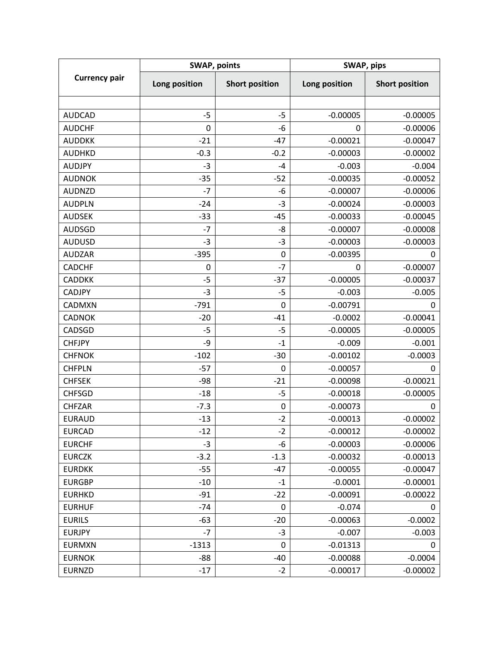| <b>Currency pair</b> | <b>SWAP, points</b> |                       | SWAP, pips    |                       |
|----------------------|---------------------|-----------------------|---------------|-----------------------|
|                      | Long position       | <b>Short position</b> | Long position | <b>Short position</b> |
|                      |                     |                       |               |                       |
| <b>AUDCAD</b>        | $-5$                | $-5$                  | $-0.00005$    | $-0.00005$            |
| <b>AUDCHF</b>        | 0                   | -6                    | 0             | $-0.00006$            |
| <b>AUDDKK</b>        | $-21$               | $-47$                 | $-0.00021$    | $-0.00047$            |
| <b>AUDHKD</b>        | $-0.3$              | $-0.2$                | $-0.00003$    | $-0.00002$            |
| <b>AUDJPY</b>        | $-3$                | $-4$                  | $-0.003$      | $-0.004$              |
| <b>AUDNOK</b>        | $-35$               | $-52$                 | $-0.00035$    | $-0.00052$            |
| <b>AUDNZD</b>        | $-7$                | -6                    | $-0.00007$    | $-0.00006$            |
| <b>AUDPLN</b>        | $-24$               | $-3$                  | $-0.00024$    | $-0.00003$            |
| <b>AUDSEK</b>        | $-33$               | $-45$                 | $-0.00033$    | $-0.00045$            |
| <b>AUDSGD</b>        | $-7$                | -8                    | $-0.00007$    | $-0.00008$            |
| <b>AUDUSD</b>        | $-3$                | $-3$                  | $-0.00003$    | $-0.00003$            |
| <b>AUDZAR</b>        | $-395$              | 0                     | $-0.00395$    | 0                     |
| <b>CADCHF</b>        | 0                   | $-7$                  | 0             | $-0.00007$            |
| <b>CADDKK</b>        | $-5$                | $-37$                 | $-0.00005$    | $-0.00037$            |
| <b>CADJPY</b>        | $-3$                | $-5$                  | $-0.003$      | $-0.005$              |
| <b>CADMXN</b>        | $-791$              | 0                     | $-0.00791$    | 0                     |
| <b>CADNOK</b>        | $-20$               | $-41$                 | $-0.0002$     | $-0.00041$            |
| CADSGD               | $-5$                | $-5$                  | $-0.00005$    | $-0.00005$            |
| <b>CHFJPY</b>        | -9                  | $-1$                  | $-0.009$      | $-0.001$              |
| <b>CHFNOK</b>        | $-102$              | $-30$                 | $-0.00102$    | $-0.0003$             |
| <b>CHFPLN</b>        | $-57$               | 0                     | $-0.00057$    | 0                     |
| <b>CHFSEK</b>        | -98                 | $-21$                 | $-0.00098$    | $-0.00021$            |
| <b>CHFSGD</b>        | $-18$               | $-5$                  | $-0.00018$    | $-0.00005$            |
| <b>CHFZAR</b>        | $-7.3$              | $\pmb{0}$             | $-0.00073$    | 0                     |
| <b>EURAUD</b>        | $-13$               | $-2$                  | $-0.00013$    | $-0.00002$            |
| <b>EURCAD</b>        | $-12$               | $-2$                  | $-0.00012$    | $-0.00002$            |
| <b>EURCHF</b>        | $-3$                | -6                    | $-0.00003$    | $-0.00006$            |
| <b>EURCZK</b>        | $-3.2$              | $-1.3$                | $-0.00032$    | $-0.00013$            |
| <b>EURDKK</b>        | $-55$               | $-47$                 | $-0.00055$    | $-0.00047$            |
| <b>EURGBP</b>        | $-10$               | $-1$                  | $-0.0001$     | $-0.00001$            |
| <b>EURHKD</b>        | $-91$               | $-22$                 | $-0.00091$    | $-0.00022$            |
| <b>EURHUF</b>        | $-74$               | 0                     | $-0.074$      | 0                     |
| <b>EURILS</b>        | $-63$               | $-20$                 | $-0.00063$    | $-0.0002$             |
| <b>EURJPY</b>        | $-7$                | $-3$                  | $-0.007$      | $-0.003$              |
| <b>EURMXN</b>        | $-1313$             | 0                     | $-0.01313$    | 0                     |
| <b>EURNOK</b>        | -88                 | $-40$                 | $-0.00088$    | $-0.0004$             |
| <b>EURNZD</b>        | $-17$               | $-2$                  | $-0.00017$    | $-0.00002$            |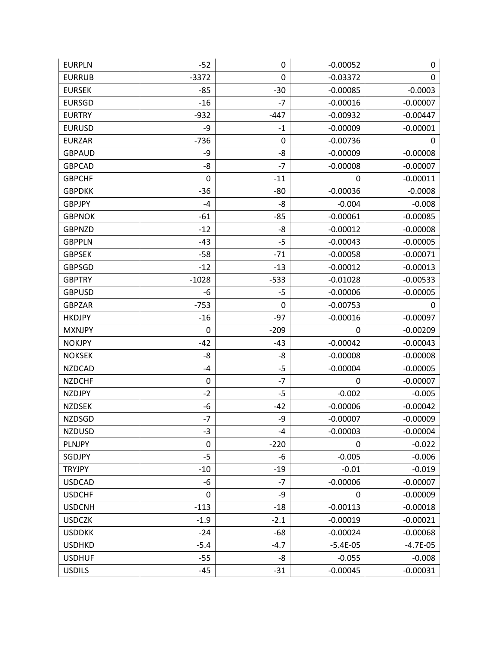| <b>EURPLN</b> | $-52$       | 0      | $-0.00052$ | 0           |
|---------------|-------------|--------|------------|-------------|
| <b>EURRUB</b> | $-3372$     | 0      | $-0.03372$ | $\mathbf 0$ |
| <b>EURSEK</b> | $-85$       | $-30$  | $-0.00085$ | $-0.0003$   |
| <b>EURSGD</b> | $-16$       | -7     | $-0.00016$ | $-0.00007$  |
| <b>EURTRY</b> | $-932$      | $-447$ | $-0.00932$ | $-0.00447$  |
| <b>EURUSD</b> | -9          | $-1$   | $-0.00009$ | $-0.00001$  |
| <b>EURZAR</b> | $-736$      | 0      | $-0.00736$ | 0           |
| <b>GBPAUD</b> | -9          | -8     | $-0.00009$ | $-0.00008$  |
| <b>GBPCAD</b> | -8          | $-7$   | $-0.00008$ | $-0.00007$  |
| <b>GBPCHF</b> | $\mathbf 0$ | $-11$  | 0          | $-0.00011$  |
| <b>GBPDKK</b> | $-36$       | $-80$  | $-0.00036$ | $-0.0008$   |
| <b>GBPJPY</b> | $-4$        | -8     | $-0.004$   | $-0.008$    |
| <b>GBPNOK</b> | $-61$       | $-85$  | $-0.00061$ | $-0.00085$  |
| <b>GBPNZD</b> | $-12$       | -8     | $-0.00012$ | $-0.00008$  |
| <b>GBPPLN</b> | $-43$       | $-5$   | $-0.00043$ | $-0.00005$  |
| <b>GBPSEK</b> | $-58$       | $-71$  | $-0.00058$ | $-0.00071$  |
| <b>GBPSGD</b> | $-12$       | $-13$  | $-0.00012$ | $-0.00013$  |
| <b>GBPTRY</b> | $-1028$     | $-533$ | $-0.01028$ | $-0.00533$  |
| <b>GBPUSD</b> | -6          | $-5$   | $-0.00006$ | $-0.00005$  |
| <b>GBPZAR</b> | $-753$      | 0      | $-0.00753$ | 0           |
| <b>HKDJPY</b> | $-16$       | $-97$  | $-0.00016$ | $-0.00097$  |
| <b>MXNJPY</b> | 0           | $-209$ | 0          | $-0.00209$  |
| <b>NOKJPY</b> | $-42$       | $-43$  | $-0.00042$ | $-0.00043$  |
| <b>NOKSEK</b> | -8          | -8     | $-0.00008$ | $-0.00008$  |
| <b>NZDCAD</b> | -4          | $-5$   | $-0.00004$ | $-0.00005$  |
| <b>NZDCHF</b> | $\pmb{0}$   | $-7$   | 0          | $-0.00007$  |
| <b>NZDJPY</b> | $-2$        | $-5$   | $-0.002$   | $-0.005$    |
| <b>NZDSEK</b> | -6          | $-42$  | $-0.00006$ | $-0.00042$  |
| <b>NZDSGD</b> | $-7$        | -9     | $-0.00007$ | $-0.00009$  |
| <b>NZDUSD</b> | $-3$        | -4     | $-0.00003$ | $-0.00004$  |
| PLNJPY        | $\pmb{0}$   | $-220$ | 0          | $-0.022$    |
| SGDJPY        | $-5$        | $-6$   | $-0.005$   | $-0.006$    |
| <b>TRYJPY</b> | $-10$       | $-19$  | $-0.01$    | $-0.019$    |
| <b>USDCAD</b> | -6          | $-7$   | $-0.00006$ | $-0.00007$  |
| <b>USDCHF</b> | 0           | -9     | 0          | $-0.00009$  |
| <b>USDCNH</b> | $-113$      | $-18$  | $-0.00113$ | $-0.00018$  |
| <b>USDCZK</b> | $-1.9$      | $-2.1$ | $-0.00019$ | $-0.00021$  |
| <b>USDDKK</b> | $-24$       | $-68$  | $-0.00024$ | $-0.00068$  |
| <b>USDHKD</b> | $-5.4$      | $-4.7$ | $-5.4E-05$ | $-4.7E-05$  |
| <b>USDHUF</b> | $-55$       | -8     | $-0.055$   | $-0.008$    |
| <b>USDILS</b> | $-45$       | $-31$  | $-0.00045$ | $-0.00031$  |